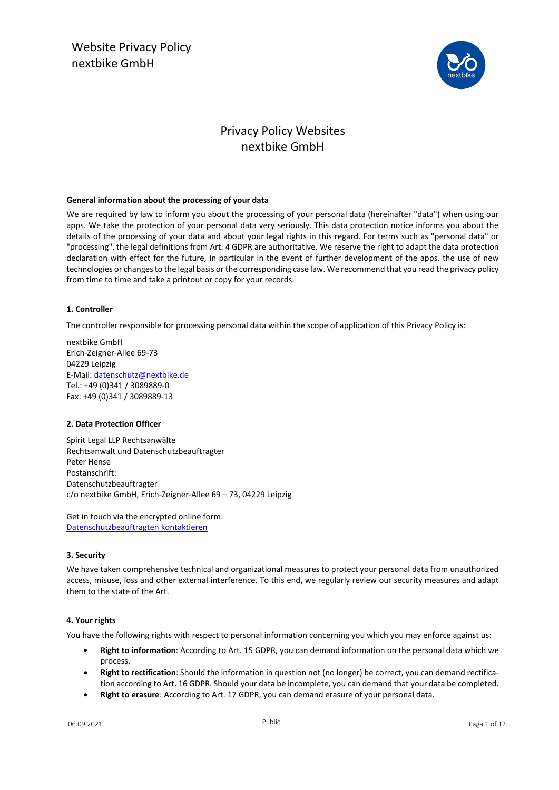Website Privacy Policy nextbike GmbH



## Privacy Policy Websites nextbike GmbH

## **General information about the processing of your data**

We are required by law to inform you about the processing of your personal data (hereinafter "data") when using our apps. We take the protection of your personal data very seriously. This data protection notice informs you about the details of the processing of your data and about your legal rights in this regard. For terms such as "personal data" or "processing", the legal definitions from Art. 4 GDPR are authoritative. We reserve the right to adapt the data protection declaration with effect for the future, in particular in the event of further development of the apps, the use of new technologies or changes to the legal basis or the corresponding case law. We recommend that you read the privacy policy from time to time and take a printout or copy for your records.

## **1. Controller**

The controller responsible for processing personal data within the scope of application of this Privacy Policy is:

nextbike GmbH Erich-Zeigner-Allee 69-73 04229 Leipzig E-Mail[: datenschutz@nextbike.de](mailto:datenschutz@nextbike.de) Tel.: +49 (0)341 / 3089889-0 Fax: +49 (0)341 / 3089889-13

## **2. Data Protection Officer**

Spirit Legal LLP Rechtsanwälte Rechtsanwalt und Datenschutzbeauftragter Peter Hense Postanschrift: Datenschutzbeauftragter c/o nextbike GmbH, Erich-Zeigner-Allee 69 – 73, 04229 Leipzig

Get in touch via the encrypted online form: [Datenschutzbeauftragten kontaktieren](https://www.spiritlegal.com/de/datenschutzbeauftragter-anfragen.html)

## **3. Security**

We have taken comprehensive technical and organizational measures to protect your personal data from unauthorized access, misuse, loss and other external interference. To this end, we regularly review our security measures and adapt them to the state of the Art.

## **4. Your rights**

You have the following rights with respect to personal information concerning you which you may enforce against us:

- **Right to information**: According to Art. 15 GDPR, you can demand information on the personal data which we process.
- **Right to rectification**: Should the information in question not (no longer) be correct, you can demand rectification according to Art. 16 GDPR. Should your data be incomplete, you can demand that your data be completed.
- **Right to erasure**: According to Art. 17 GDPR, you can demand erasure of your personal data.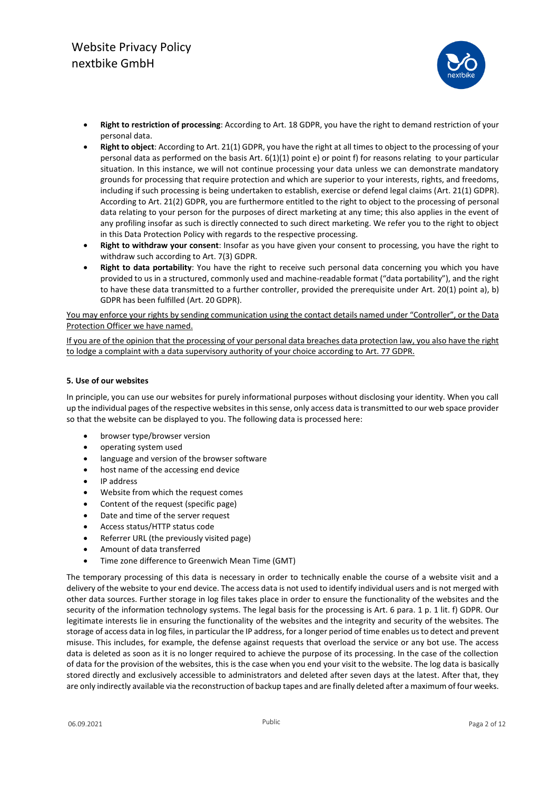

- **Right to restriction of processing**: According to Art. 18 GDPR, you have the right to demand restriction of your personal data.
- **Right to object**: According to Art. 21(1) GDPR, you have the right at all times to object to the processing of your personal data as performed on the basis Art. 6(1)(1) point e) or point f) for reasons relating to your particular situation. In this instance, we will not continue processing your data unless we can demonstrate mandatory grounds for processing that require protection and which are superior to your interests, rights, and freedoms, including if such processing is being undertaken to establish, exercise or defend legal claims (Art. 21(1) GDPR). According to Art. 21(2) GDPR, you are furthermore entitled to the right to object to the processing of personal data relating to your person for the purposes of direct marketing at any time; this also applies in the event of any profiling insofar as such is directly connected to such direct marketing. We refer you to the right to object in this Data Protection Policy with regards to the respective processing.
- **Right to withdraw your consent**: Insofar as you have given your consent to processing, you have the right to withdraw such according to Art. 7(3) GDPR.
- **Right to data portability**: You have the right to receive such personal data concerning you which you have provided to us in a structured, commonly used and machine-readable format ("data portability"), and the right to have these data transmitted to a further controller, provided the prerequisite under Art. 20(1) point a), b) GDPR has been fulfilled (Art. 20 GDPR).

You may enforce your rights by sending communication using the contact details named under "Controller", or the Data Protection Officer we have named.

If you are of the opinion that the processing of your personal data breaches data protection law, you also have the right to lodge a complaint with a data supervisory authority of your choice according to Art. 77 GDPR.

## **5. Use of our websites**

In principle, you can use our websites for purely informational purposes without disclosing your identity. When you call up the individual pages of the respective websites in this sense, only access data is transmitted to our web space provider so that the website can be displayed to you. The following data is processed here:

- browser type/browser version
- operating system used
- language and version of the browser software
- host name of the accessing end device
- IP address
- Website from which the request comes
- Content of the request (specific page)
- Date and time of the server request
- Access status/HTTP status code
- Referrer URL (the previously visited page)
- Amount of data transferred
- Time zone difference to Greenwich Mean Time (GMT)

The temporary processing of this data is necessary in order to technically enable the course of a website visit and a delivery of the website to your end device. The access data is not used to identify individual users and is not merged with other data sources. Further storage in log files takes place in order to ensure the functionality of the websites and the security of the information technology systems. The legal basis for the processing is Art. 6 para. 1 p. 1 lit. f) GDPR. Our legitimate interests lie in ensuring the functionality of the websites and the integrity and security of the websites. The storage of access data in log files, in particular the IP address, for a longer period of time enables us to detect and prevent misuse. This includes, for example, the defense against requests that overload the service or any bot use. The access data is deleted as soon as it is no longer required to achieve the purpose of its processing. In the case of the collection of data for the provision of the websites, this is the case when you end your visit to the website. The log data is basically stored directly and exclusively accessible to administrators and deleted after seven days at the latest. After that, they are only indirectly available via the reconstruction of backup tapes and are finally deleted after a maximum of four weeks.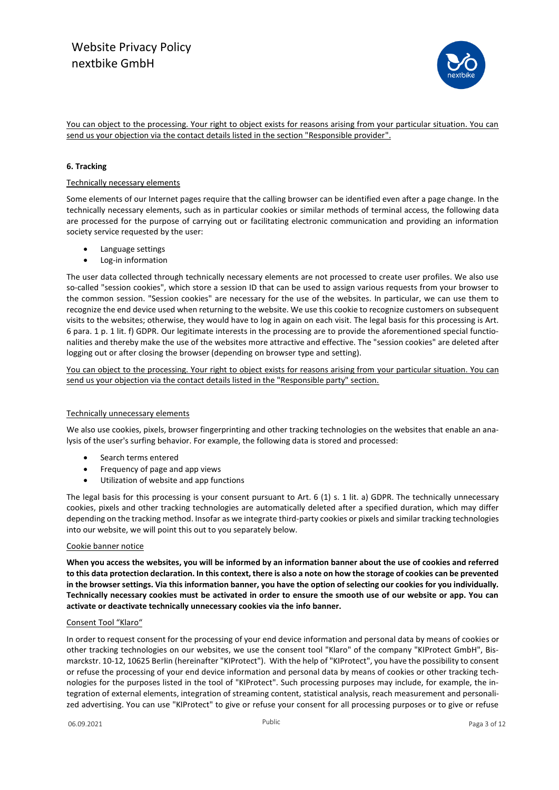

You can object to the processing. Your right to object exists for reasons arising from your particular situation. You can send us your objection via the contact details listed in the section "Responsible provider".

## **6. Tracking**

## Technically necessary elements

Some elements of our Internet pages require that the calling browser can be identified even after a page change. In the technically necessary elements, such as in particular cookies or similar methods of terminal access, the following data are processed for the purpose of carrying out or facilitating electronic communication and providing an information society service requested by the user:

- Language settings
- Log-in information

The user data collected through technically necessary elements are not processed to create user profiles. We also use so-called "session cookies", which store a session ID that can be used to assign various requests from your browser to the common session. "Session cookies" are necessary for the use of the websites. In particular, we can use them to recognize the end device used when returning to the website. We use this cookie to recognize customers on subsequent visits to the websites; otherwise, they would have to log in again on each visit. The legal basis for this processing is Art. 6 para. 1 p. 1 lit. f) GDPR. Our legitimate interests in the processing are to provide the aforementioned special functionalities and thereby make the use of the websites more attractive and effective. The "session cookies" are deleted after logging out or after closing the browser (depending on browser type and setting).

You can object to the processing. Your right to object exists for reasons arising from your particular situation. You can send us your objection via the contact details listed in the "Responsible party" section.

## Technically unnecessary elements

We also use cookies, pixels, browser fingerprinting and other tracking technologies on the websites that enable an analysis of the user's surfing behavior. For example, the following data is stored and processed:

- Search terms entered
- Frequency of page and app views
- Utilization of website and app functions

The legal basis for this processing is your consent pursuant to Art. 6 (1) s. 1 lit. a) GDPR. The technically unnecessary cookies, pixels and other tracking technologies are automatically deleted after a specified duration, which may differ depending on the tracking method. Insofar as we integrate third-party cookies or pixels and similar tracking technologies into our website, we will point this out to you separately below.

## Cookie banner notice

**When you access the websites, you will be informed by an information banner about the use of cookies and referred to this data protection declaration. In this context, there is also a note on how the storage of cookies can be prevented in the browser settings. Via this information banner, you have the option of selecting our cookies for you individually. Technically necessary cookies must be activated in order to ensure the smooth use of our website or app. You can activate or deactivate technically unnecessary cookies via the info banner.**

## Consent Tool "Klaro"

In order to request consent for the processing of your end device information and personal data by means of cookies or other tracking technologies on our websites, we use the consent tool "Klaro" of the company "KIProtect GmbH", Bismarckstr. 10-12, 10625 Berlin (hereinafter "KIProtect"). With the help of "KIProtect", you have the possibility to consent or refuse the processing of your end device information and personal data by means of cookies or other tracking technologies for the purposes listed in the tool of "KIProtect". Such processing purposes may include, for example, the integration of external elements, integration of streaming content, statistical analysis, reach measurement and personalized advertising. You can use "KIProtect" to give or refuse your consent for all processing purposes or to give or refuse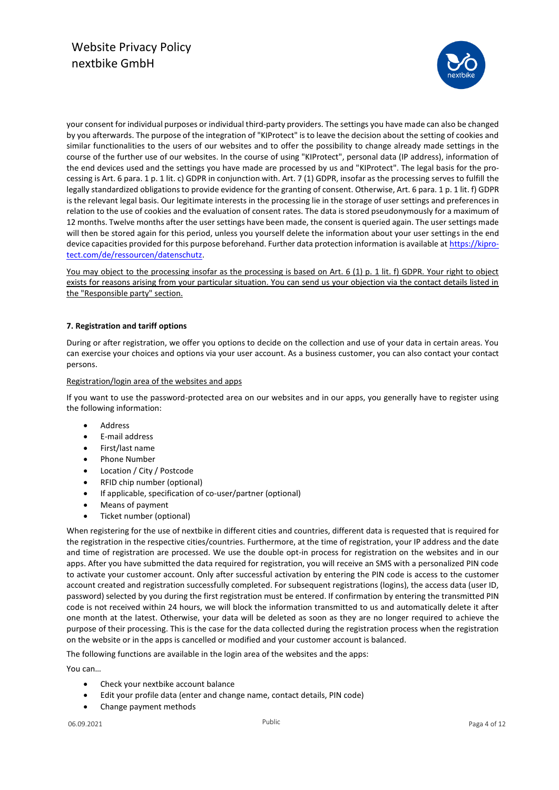

your consent for individual purposes or individual third-party providers. The settings you have made can also be changed by you afterwards. The purpose of the integration of "KIProtect" is to leave the decision about the setting of cookies and similar functionalities to the users of our websites and to offer the possibility to change already made settings in the course of the further use of our websites. In the course of using "KIProtect", personal data (IP address), information of the end devices used and the settings you have made are processed by us and "KIProtect". The legal basis for the processing is Art. 6 para. 1 p. 1 lit. c) GDPR in conjunction with. Art. 7 (1) GDPR, insofar as the processing serves to fulfill the legally standardized obligations to provide evidence for the granting of consent. Otherwise, Art. 6 para. 1 p. 1 lit. f) GDPR is the relevant legal basis. Our legitimate interests in the processing lie in the storage of user settings and preferences in relation to the use of cookies and the evaluation of consent rates. The data is stored pseudonymously for a maximum of 12 months. Twelve months after the user settings have been made, the consent is queried again. The user settings made will then be stored again for this period, unless you yourself delete the information about your user settings in the end device capacities provided for this purpose beforehand. Further data protection information is available at [https://kipro](https://kiprotect.com/de/ressourcen/datenschutz)[tect.com/de/ressourcen/datenschutz.](https://kiprotect.com/de/ressourcen/datenschutz)

You may object to the processing insofar as the processing is based on Art. 6 (1) p. 1 lit. f) GDPR. Your right to object exists for reasons arising from your particular situation. You can send us your objection via the contact details listed in the "Responsible party" section.

## **7. Registration and tariff options**

During or after registration, we offer you options to decide on the collection and use of your data in certain areas. You can exercise your choices and options via your user account. As a business customer, you can also contact your contact persons.

## Registration/login area of the websites and apps

If you want to use the password-protected area on our websites and in our apps, you generally have to register using the following information:

- Address
- E-mail address
- First/last name
- Phone Number
- Location / City / Postcode
- RFID chip number (optional)
- If applicable, specification of co-user/partner (optional)
- Means of payment
- Ticket number (optional)

When registering for the use of nextbike in different cities and countries, different data is requested that is required for the registration in the respective cities/countries. Furthermore, at the time of registration, your IP address and the date and time of registration are processed. We use the double opt-in process for registration on the websites and in our apps. After you have submitted the data required for registration, you will receive an SMS with a personalized PIN code to activate your customer account. Only after successful activation by entering the PIN code is access to the customer account created and registration successfully completed. For subsequent registrations (logins), the access data (user ID, password) selected by you during the first registration must be entered. If confirmation by entering the transmitted PIN code is not received within 24 hours, we will block the information transmitted to us and automatically delete it after one month at the latest. Otherwise, your data will be deleted as soon as they are no longer required to achieve the purpose of their processing. This is the case for the data collected during the registration process when the registration on the website or in the apps is cancelled or modified and your customer account is balanced.

The following functions are available in the login area of the websites and the apps:

You can…

- Check your nextbike account balance
- Edit your profile data (enter and change name, contact details, PIN code)
- Change payment methods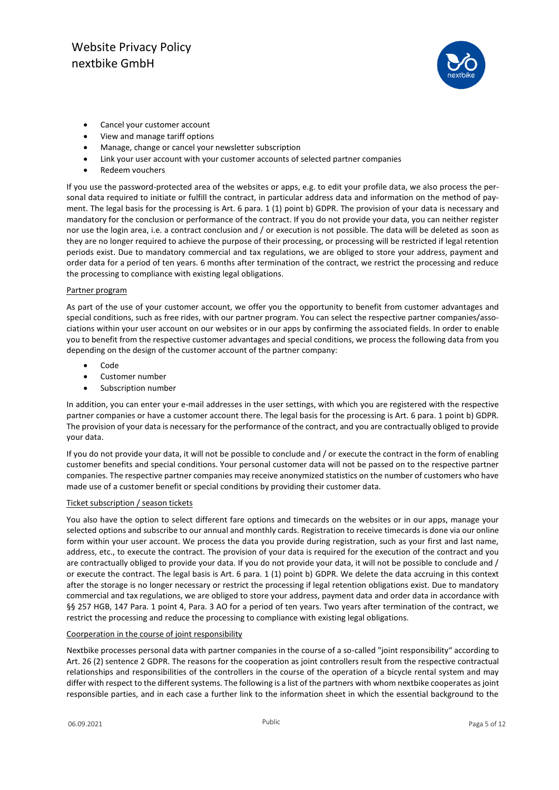

- Cancel your customer account
- View and manage tariff options
- Manage, change or cancel your newsletter subscription
- Link your user account with your customer accounts of selected partner companies
- Redeem vouchers

If you use the password-protected area of the websites or apps, e.g. to edit your profile data, we also process the personal data required to initiate or fulfill the contract, in particular address data and information on the method of payment. The legal basis for the processing is Art. 6 para. 1 (1) point b) GDPR. The provision of your data is necessary and mandatory for the conclusion or performance of the contract. If you do not provide your data, you can neither register nor use the login area, i.e. a contract conclusion and / or execution is not possible. The data will be deleted as soon as they are no longer required to achieve the purpose of their processing, or processing will be restricted if legal retention periods exist. Due to mandatory commercial and tax regulations, we are obliged to store your address, payment and order data for a period of ten years. 6 months after termination of the contract, we restrict the processing and reduce the processing to compliance with existing legal obligations.

## Partner program

As part of the use of your customer account, we offer you the opportunity to benefit from customer advantages and special conditions, such as free rides, with our partner program. You can select the respective partner companies/associations within your user account on our websites or in our apps by confirming the associated fields. In order to enable you to benefit from the respective customer advantages and special conditions, we process the following data from you depending on the design of the customer account of the partner company:

- Code
- Customer number
- Subscription number

In addition, you can enter your e-mail addresses in the user settings, with which you are registered with the respective partner companies or have a customer account there. The legal basis for the processing is Art. 6 para. 1 point b) GDPR. The provision of your data is necessary for the performance of the contract, and you are contractually obliged to provide your data.

If you do not provide your data, it will not be possible to conclude and / or execute the contract in the form of enabling customer benefits and special conditions. Your personal customer data will not be passed on to the respective partner companies. The respective partner companies may receive anonymized statistics on the number of customers who have made use of a customer benefit or special conditions by providing their customer data.

## Ticket subscription / season tickets

You also have the option to select different fare options and timecards on the websites or in our apps, manage your selected options and subscribe to our annual and monthly cards. Registration to receive timecards is done via our online form within your user account. We process the data you provide during registration, such as your first and last name, address, etc., to execute the contract. The provision of your data is required for the execution of the contract and you are contractually obliged to provide your data. If you do not provide your data, it will not be possible to conclude and / or execute the contract. The legal basis is Art. 6 para. 1 (1) point b) GDPR. We delete the data accruing in this context after the storage is no longer necessary or restrict the processing if legal retention obligations exist. Due to mandatory commercial and tax regulations, we are obliged to store your address, payment data and order data in accordance with §§ 257 HGB, 147 Para. 1 point 4, Para. 3 AO for a period of ten years. Two years after termination of the contract, we restrict the processing and reduce the processing to compliance with existing legal obligations.

## Coorperation in the course of joint responsibility

Nextbike processes personal data with partner companies in the course of a so-called "joint responsibility" according to Art. 26 (2) sentence 2 GDPR. The reasons for the cooperation as joint controllers result from the respective contractual relationships and responsibilities of the controllers in the course of the operation of a bicycle rental system and may differ with respect to the different systems. The following is a list of the partners with whom nextbike cooperates as joint responsible parties, and in each case a further link to the information sheet in which the essential background to the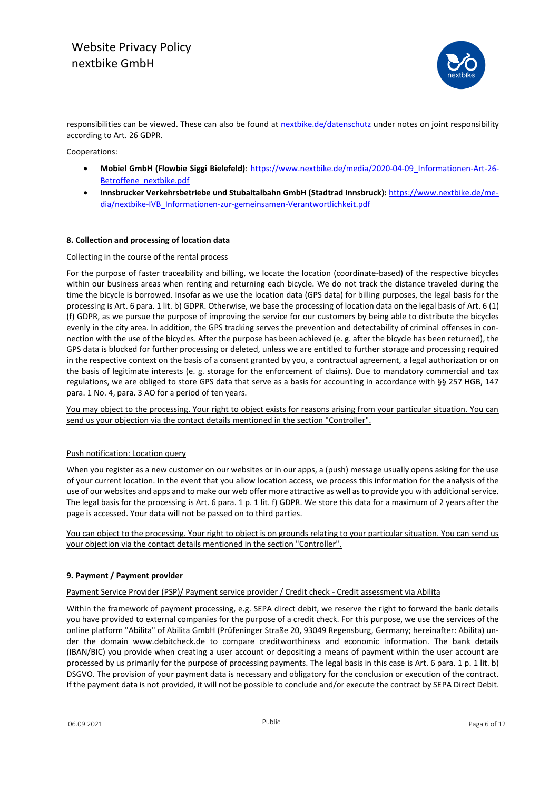# Website Privacy Policy nextbike GmbH



responsibilities can be viewed. These can also be found at [nextbike.de/datenschutz](file:///C:/Users/pteitge/Desktop/Datenschutz/Datenschutzrichtlinien/nextbike.de/datenschutz) under notes on joint responsibility according to Art. 26 GDPR.

Cooperations:

- **Mobiel GmbH (Flowbie Siggi Bielefeld)**: [https://www.nextbike.de/media/2020-04-09\\_Informationen-Art-26-](https://www.nextbike.de/media/2020-04-09_Informationen-Art-26-Betroffene_nextbike.pdf) [Betroffene\\_nextbike.pdf](https://www.nextbike.de/media/2020-04-09_Informationen-Art-26-Betroffene_nextbike.pdf)
- **Innsbrucker Verkehrsbetriebe und Stubaitalbahn GmbH (Stadtrad Innsbruck):** https://www.nextbike.de/media/nextbike-IVB\_Informationen-zur-gemeinsamen-Verantwortlichkeit.pdf

## **8. Collection and processing of location data**

## Collecting in the course of the rental process

For the purpose of faster traceability and billing, we locate the location (coordinate-based) of the respective bicycles within our business areas when renting and returning each bicycle. We do not track the distance traveled during the time the bicycle is borrowed. Insofar as we use the location data (GPS data) for billing purposes, the legal basis for the processing is Art. 6 para. 1 lit. b) GDPR. Otherwise, we base the processing of location data on the legal basis of Art. 6 (1) (f) GDPR, as we pursue the purpose of improving the service for our customers by being able to distribute the bicycles evenly in the city area. In addition, the GPS tracking serves the prevention and detectability of criminal offenses in connection with the use of the bicycles. After the purpose has been achieved (e. g. after the bicycle has been returned), the GPS data is blocked for further processing or deleted, unless we are entitled to further storage and processing required in the respective context on the basis of a consent granted by you, a contractual agreement, a legal authorization or on the basis of legitimate interests (e. g. storage for the enforcement of claims). Due to mandatory commercial and tax regulations, we are obliged to store GPS data that serve as a basis for accounting in accordance with §§ 257 HGB, 147 para. 1 No. 4, para. 3 AO for a period of ten years.

You may object to the processing. Your right to object exists for reasons arising from your particular situation. You can send us your objection via the contact details mentioned in the section "Controller".

## Push notification: Location query

When you register as a new customer on our websites or in our apps, a (push) message usually opens asking for the use of your current location. In the event that you allow location access, we process this information for the analysis of the use of our websites and apps and to make our web offer more attractive as well as to provide you with additional service. The legal basis for the processing is Art. 6 para. 1 p. 1 lit. f) GDPR. We store this data for a maximum of 2 years after the page is accessed. Your data will not be passed on to third parties.

You can object to the processing. Your right to object is on grounds relating to your particular situation. You can send us your objection via the contact details mentioned in the section "Controller".

## **9. Payment / Payment provider**

## Payment Service Provider (PSP)/ Payment service provider / Credit check - Credit assessment via Abilita

Within the framework of payment processing, e.g. SEPA direct debit, we reserve the right to forward the bank details you have provided to external companies for the purpose of a credit check. For this purpose, we use the services of the online platform "Abilita" of Abilita GmbH (Prüfeninger Straße 20, 93049 Regensburg, Germany; hereinafter: Abilita) under the domain www.debitcheck.de to compare creditworthiness and economic information. The bank details (IBAN/BIC) you provide when creating a user account or depositing a means of payment within the user account are processed by us primarily for the purpose of processing payments. The legal basis in this case is Art. 6 para. 1 p. 1 lit. b) DSGVO. The provision of your payment data is necessary and obligatory for the conclusion or execution of the contract. If the payment data is not provided, it will not be possible to conclude and/or execute the contract by SEPA Direct Debit.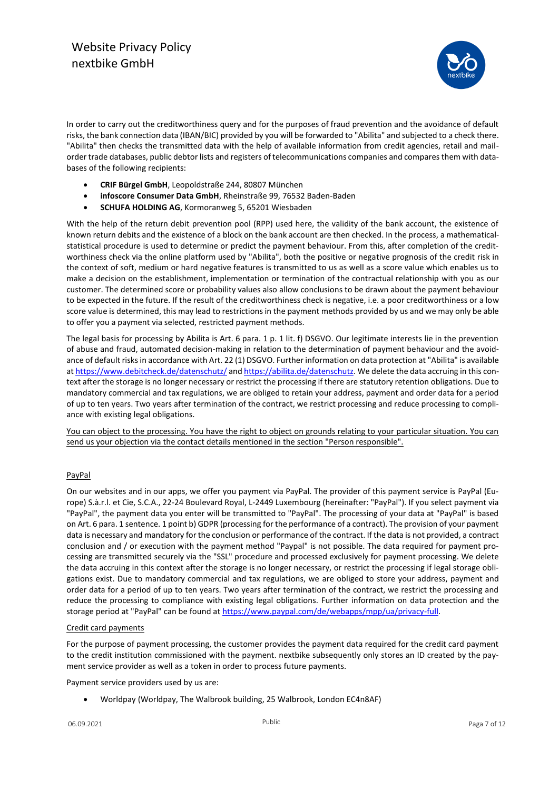

In order to carry out the creditworthiness query and for the purposes of fraud prevention and the avoidance of default risks, the bank connection data (IBAN/BIC) provided by you will be forwarded to "Abilita" and subjected to a check there. "Abilita" then checks the transmitted data with the help of available information from credit agencies, retail and mailorder trade databases, public debtor lists and registers of telecommunications companies and compares them with databases of the following recipients:

- **CRIF Bürgel GmbH**, Leopoldstraße 244, 80807 München
- **infoscore Consumer Data GmbH**, Rheinstraße 99, 76532 Baden-Baden
- **SCHUFA HOLDING AG**, Kormoranweg 5, 65201 Wiesbaden

With the help of the return debit prevention pool (RPP) used here, the validity of the bank account, the existence of known return debits and the existence of a block on the bank account are then checked. In the process, a mathematicalstatistical procedure is used to determine or predict the payment behaviour. From this, after completion of the creditworthiness check via the online platform used by "Abilita", both the positive or negative prognosis of the credit risk in the context of soft, medium or hard negative features is transmitted to us as well as a score value which enables us to make a decision on the establishment, implementation or termination of the contractual relationship with you as our customer. The determined score or probability values also allow conclusions to be drawn about the payment behaviour to be expected in the future. If the result of the creditworthiness check is negative, i.e. a poor creditworthiness or a low score value is determined, this may lead to restrictions in the payment methods provided by us and we may only be able to offer you a payment via selected, restricted payment methods.

The legal basis for processing by Abilita is Art. 6 para. 1 p. 1 lit. f) DSGVO. Our legitimate interests lie in the prevention of abuse and fraud, automated decision-making in relation to the determination of payment behaviour and the avoidance of default risks in accordance with Art. 22 (1) DSGVO. Further information on data protection at "Abilita" is available a[t https://www.debitcheck.de/datenschutz/](https://www.debitcheck.de/datenschutz/) an[d https://abilita.de/datenschutz.](https://abilita.de/datenschutz) We delete the data accruing in this context after the storage is no longer necessary or restrict the processing if there are statutory retention obligations. Due to mandatory commercial and tax regulations, we are obliged to retain your address, payment and order data for a period of up to ten years. Two years after termination of the contract, we restrict processing and reduce processing to compliance with existing legal obligations.

You can object to the processing. You have the right to object on grounds relating to your particular situation. You can send us your objection via the contact details mentioned in the section "Person responsible".

## PayPal

On our websites and in our apps, we offer you payment via PayPal. The provider of this payment service is PayPal (Europe) S.à.r.l. et Cie, S.C.A., 22-24 Boulevard Royal, L-2449 Luxembourg (hereinafter: "PayPal"). If you select payment via "PayPal", the payment data you enter will be transmitted to "PayPal". The processing of your data at "PayPal" is based on Art. 6 para. 1 sentence. 1 point b) GDPR (processing for the performance of a contract). The provision of your payment data is necessary and mandatory for the conclusion or performance of the contract. If the data is not provided, a contract conclusion and / or execution with the payment method "Paypal" is not possible. The data required for payment processing are transmitted securely via the "SSL" procedure and processed exclusively for payment processing. We delete the data accruing in this context after the storage is no longer necessary, or restrict the processing if legal storage obligations exist. Due to mandatory commercial and tax regulations, we are obliged to store your address, payment and order data for a period of up to ten years. Two years after termination of the contract, we restrict the processing and reduce the processing to compliance with existing legal obligations. Further information on data protection and the storage period at "PayPal" can be found at [https://www.paypal.com/de/webapps/mpp/ua/privacy-full.](https://www.paypal.com/de/webapps/mpp/ua/privacy-full)

## Credit card payments

For the purpose of payment processing, the customer provides the payment data required for the credit card payment to the credit institution commissioned with the payment. nextbike subsequently only stores an ID created by the payment service provider as well as a token in order to process future payments.

Payment service providers used by us are:

• Worldpay (Worldpay, The Walbrook building, 25 Walbrook, London EC4n8AF)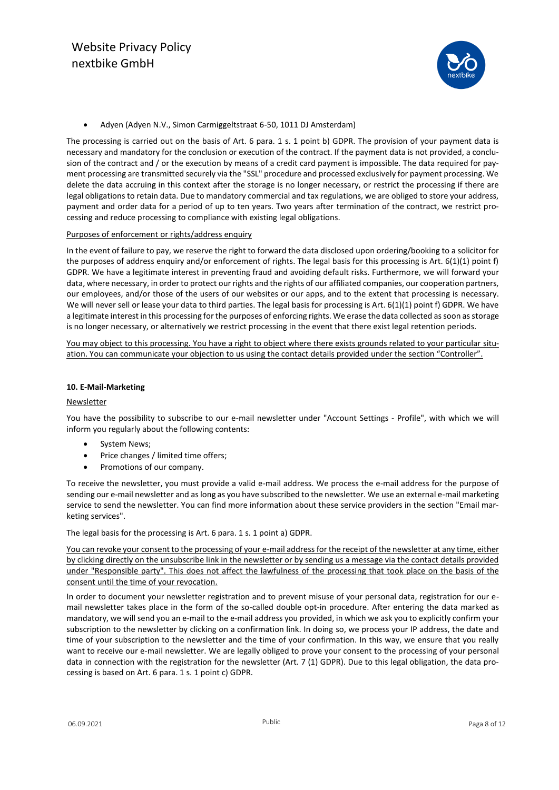

• Adyen (Adyen N.V., Simon Carmiggeltstraat 6-50, 1011 DJ Amsterdam)

The processing is carried out on the basis of Art. 6 para. 1 s. 1 point b) GDPR. The provision of your payment data is necessary and mandatory for the conclusion or execution of the contract. If the payment data is not provided, a conclusion of the contract and / or the execution by means of a credit card payment is impossible. The data required for payment processing are transmitted securely via the "SSL" procedure and processed exclusively for payment processing. We delete the data accruing in this context after the storage is no longer necessary, or restrict the processing if there are legal obligations to retain data. Due to mandatory commercial and tax regulations, we are obliged to store your address, payment and order data for a period of up to ten years. Two years after termination of the contract, we restrict processing and reduce processing to compliance with existing legal obligations.

## Purposes of enforcement or rights/address enquiry

In the event of failure to pay, we reserve the right to forward the data disclosed upon ordering/booking to a solicitor for the purposes of address enquiry and/or enforcement of rights. The legal basis for this processing is Art. 6(1)(1) point f) GDPR. We have a legitimate interest in preventing fraud and avoiding default risks. Furthermore, we will forward your data, where necessary, in order to protect our rights and the rights of our affiliated companies, our cooperation partners, our employees, and/or those of the users of our websites or our apps, and to the extent that processing is necessary. We will never sell or lease your data to third parties. The legal basis for processing is Art. 6(1)(1) point f) GDPR. We have a legitimate interest in this processing for the purposes of enforcing rights. We erase the data collected as soon as storage is no longer necessary, or alternatively we restrict processing in the event that there exist legal retention periods.

You may object to this processing. You have a right to object where there exists grounds related to your particular situation. You can communicate your objection to us using the contact details provided under the section "Controller".

## **10. E-Mail-Marketing**

## **Newsletter**

You have the possibility to subscribe to our e-mail newsletter under "Account Settings - Profile", with which we will inform you regularly about the following contents:

- System News;
- Price changes / limited time offers;
- Promotions of our company.

To receive the newsletter, you must provide a valid e-mail address. We process the e-mail address for the purpose of sending our e-mail newsletter and as long as you have subscribed to the newsletter. We use an external e-mail marketing service to send the newsletter. You can find more information about these service providers in the section "Email marketing services".

The legal basis for the processing is Art. 6 para. 1 s. 1 point a) GDPR.

You can revoke your consent to the processing of your e-mail address for the receipt of the newsletter at any time, either by clicking directly on the unsubscribe link in the newsletter or by sending us a message via the contact details provided under "Responsible party". This does not affect the lawfulness of the processing that took place on the basis of the consent until the time of your revocation.

In order to document your newsletter registration and to prevent misuse of your personal data, registration for our email newsletter takes place in the form of the so-called double opt-in procedure. After entering the data marked as mandatory, we will send you an e-mail to the e-mail address you provided, in which we ask you to explicitly confirm your subscription to the newsletter by clicking on a confirmation link. In doing so, we process your IP address, the date and time of your subscription to the newsletter and the time of your confirmation. In this way, we ensure that you really want to receive our e-mail newsletter. We are legally obliged to prove your consent to the processing of your personal data in connection with the registration for the newsletter (Art. 7 (1) GDPR). Due to this legal obligation, the data processing is based on Art. 6 para. 1 s. 1 point c) GDPR.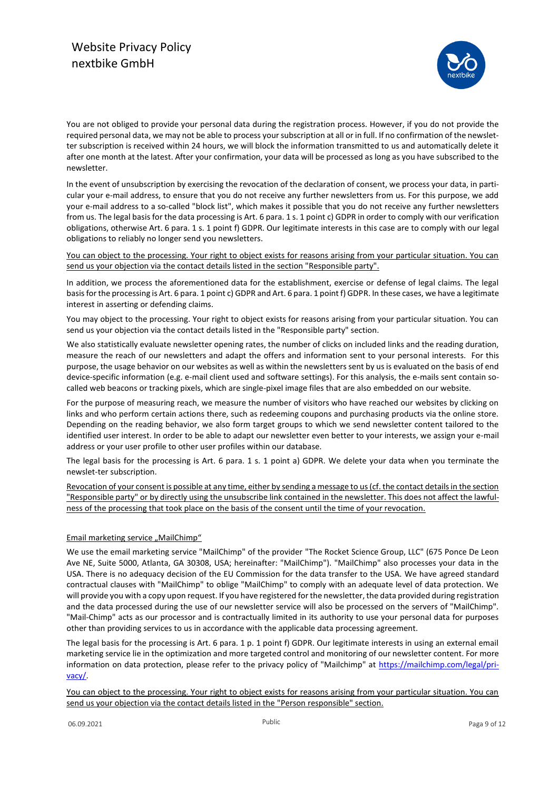

You are not obliged to provide your personal data during the registration process. However, if you do not provide the required personal data, we may not be able to process your subscription at all or in full. If no confirmation of the newsletter subscription is received within 24 hours, we will block the information transmitted to us and automatically delete it after one month at the latest. After your confirmation, your data will be processed as long as you have subscribed to the newsletter.

In the event of unsubscription by exercising the revocation of the declaration of consent, we process your data, in particular your e-mail address, to ensure that you do not receive any further newsletters from us. For this purpose, we add your e-mail address to a so-called "block list", which makes it possible that you do not receive any further newsletters from us. The legal basis for the data processing is Art. 6 para. 1 s. 1 point c) GDPR in order to comply with our verification obligations, otherwise Art. 6 para. 1 s. 1 point f) GDPR. Our legitimate interests in this case are to comply with our legal obligations to reliably no longer send you newsletters.

You can object to the processing. Your right to object exists for reasons arising from your particular situation. You can send us your objection via the contact details listed in the section "Responsible party".

In addition, we process the aforementioned data for the establishment, exercise or defense of legal claims. The legal basis for the processing is Art. 6 para. 1 point c) GDPR and Art. 6 para. 1 point f) GDPR. In these cases, we have a legitimate interest in asserting or defending claims.

You may object to the processing. Your right to object exists for reasons arising from your particular situation. You can send us your objection via the contact details listed in the "Responsible party" section.

We also statistically evaluate newsletter opening rates, the number of clicks on included links and the reading duration, measure the reach of our newsletters and adapt the offers and information sent to your personal interests. For this purpose, the usage behavior on our websites as well as within the newsletters sent by us is evaluated on the basis of end device-specific information (e.g. e-mail client used and software settings). For this analysis, the e-mails sent contain socalled web beacons or tracking pixels, which are single-pixel image files that are also embedded on our website.

For the purpose of measuring reach, we measure the number of visitors who have reached our websites by clicking on links and who perform certain actions there, such as redeeming coupons and purchasing products via the online store. Depending on the reading behavior, we also form target groups to which we send newsletter content tailored to the identified user interest. In order to be able to adapt our newsletter even better to your interests, we assign your e-mail address or your user profile to other user profiles within our database.

The legal basis for the processing is Art. 6 para. 1 s. 1 point a) GDPR. We delete your data when you terminate the newslet-ter subscription.

Revocation of your consent is possible at any time, either by sending a message to us (cf. the contact details in the section "Responsible party" or by directly using the unsubscribe link contained in the newsletter. This does not affect the lawfulness of the processing that took place on the basis of the consent until the time of your revocation.

## Email marketing service "MailChimp"

We use the email marketing service "MailChimp" of the provider "The Rocket Science Group, LLC" (675 Ponce De Leon Ave NE, Suite 5000, Atlanta, GA 30308, USA; hereinafter: "MailChimp"). "MailChimp" also processes your data in the USA. There is no adequacy decision of the EU Commission for the data transfer to the USA. We have agreed standard contractual clauses with "MailChimp" to oblige "MailChimp" to comply with an adequate level of data protection. We will provide you with a copy upon request. If you have registered for the newsletter, the data provided during registration and the data processed during the use of our newsletter service will also be processed on the servers of "MailChimp". "Mail-Chimp" acts as our processor and is contractually limited in its authority to use your personal data for purposes other than providing services to us in accordance with the applicable data processing agreement.

The legal basis for the processing is Art. 6 para. 1 p. 1 point f) GDPR. Our legitimate interests in using an external email marketing service lie in the optimization and more targeted control and monitoring of our newsletter content. For more information on data protection, please refer to the privacy policy of "Mailchimp" at [https://mailchimp.com/legal/pri](https://mailchimp.com/legal/privacy/)[vacy/.](https://mailchimp.com/legal/privacy/)

You can object to the processing. Your right to object exists for reasons arising from your particular situation. You can send us your objection via the contact details listed in the "Person responsible" section.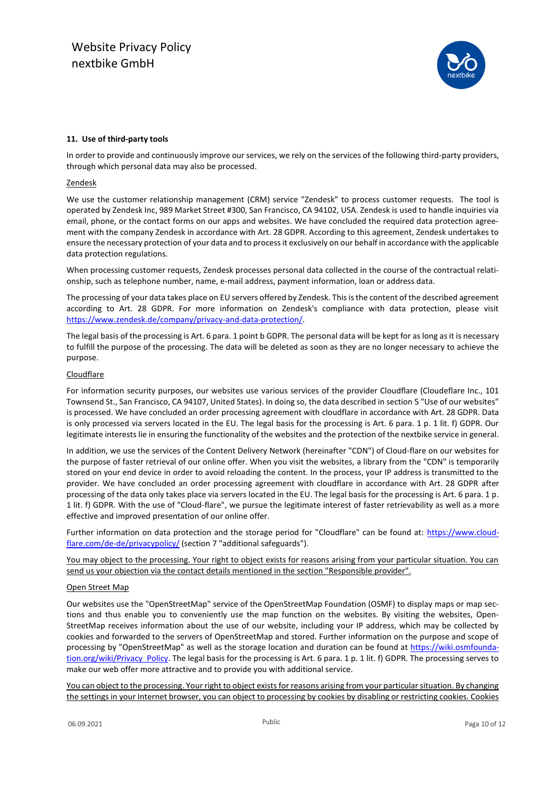

## **11. Use of third-party tools**

In order to provide and continuously improve our services, we rely on the services of the following third-party providers, through which personal data may also be processed.

## Zendesk

We use the customer relationship management (CRM) service "Zendesk" to process customer requests. The tool is operated by Zendesk Inc, 989 Market Street #300, San Francisco, CA 94102, USA. Zendesk is used to handle inquiries via email, phone, or the contact forms on our apps and websites. We have concluded the required data protection agreement with the company Zendesk in accordance with Art. 28 GDPR. According to this agreement, Zendesk undertakes to ensure the necessary protection of your data and to process it exclusively on our behalf in accordance with the applicable data protection regulations.

When processing customer requests, Zendesk processes personal data collected in the course of the contractual relationship, such as telephone number, name, e-mail address, payment information, loan or address data.

The processing of your data takes place on EU servers offered by Zendesk. This is the content of the described agreement according to Art. 28 GDPR. For more information on Zendesk's compliance with data protection, please visit [https://www.zendesk.de/company/privacy-and-data-protection/.](https://www.zendesk.de/company/privacy-and-data-protection/)

The legal basis of the processing is Art. 6 para. 1 point b GDPR. The personal data will be kept for as long as it is necessary to fulfill the purpose of the processing. The data will be deleted as soon as they are no longer necessary to achieve the purpose.

## **Cloudflare**

For information security purposes, our websites use various services of the provider Cloudflare (Cloudeflare Inc., 101 Townsend St., San Francisco, CA 94107, United States). In doing so, the data described in section 5 "Use of our websites" is processed. We have concluded an order processing agreement with cloudflare in accordance with Art. 28 GDPR. Data is only processed via servers located in the EU. The legal basis for the processing is Art. 6 para. 1 p. 1 lit. f) GDPR. Our legitimate interests lie in ensuring the functionality of the websites and the protection of the nextbike service in general.

In addition, we use the services of the Content Delivery Network (hereinafter "CDN") of Cloud-flare on our websites for the purpose of faster retrieval of our online offer. When you visit the websites, a library from the "CDN" is temporarily stored on your end device in order to avoid reloading the content. In the process, your IP address is transmitted to the provider. We have concluded an order processing agreement with cloudflare in accordance with Art. 28 GDPR after processing of the data only takes place via servers located in the EU. The legal basis for the processing is Art. 6 para. 1 p. 1 lit. f) GDPR. With the use of "Cloud-flare", we pursue the legitimate interest of faster retrievability as well as a more effective and improved presentation of our online offer.

Further information on data protection and the storage period for "Cloudflare" can be found at: [https://www.cloud](https://www.cloudflare.com/de-de/privacypolicy/)[flare.com/de-de/privacypolicy/](https://www.cloudflare.com/de-de/privacypolicy/) (section 7 "additional safeguards").

You may object to the processing. Your right to object exists for reasons arising from your particular situation. You can send us your objection via the contact details mentioned in the section "Responsible provider".

## Open Street Map

Our websites use the "OpenStreetMap" service of the OpenStreetMap Foundation (OSMF) to display maps or map sections and thus enable you to conveniently use the map function on the websites. By visiting the websites, Open-StreetMap receives information about the use of our website, including your IP address, which may be collected by cookies and forwarded to the servers of OpenStreetMap and stored. Further information on the purpose and scope of processing by "OpenStreetMap" as well as the storage location and duration can be found at [https://wiki.osmfounda](https://wiki.osmfoundation.org/wiki/Privacy_Policy)[tion.org/wiki/Privacy\\_Policy.](https://wiki.osmfoundation.org/wiki/Privacy_Policy) The legal basis for the processing is Art. 6 para. 1 p. 1 lit. f) GDPR. The processing serves to make our web offer more attractive and to provide you with additional service.

You can object to the processing. Your right to object exists for reasons arising from your particular situation. By changing the settings in your Internet browser, you can object to processing by cookies by disabling or restricting cookies. Cookies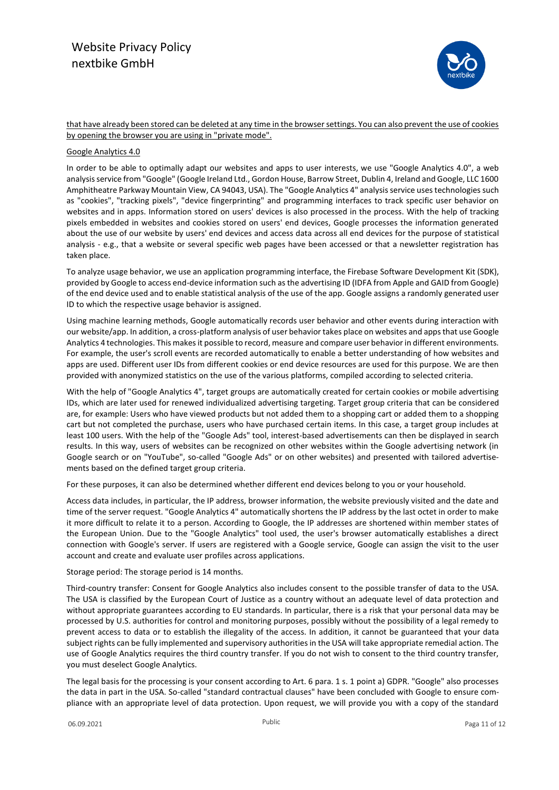# Website Privacy Policy nextbike GmbH



that have already been stored can be deleted at any time in the browser settings. You can also prevent the use of cookies by opening the browser you are using in "private mode".

## Google Analytics 4.0

In order to be able to optimally adapt our websites and apps to user interests, we use "Google Analytics 4.0", a web analysis service from "Google" (Google Ireland Ltd., Gordon House, Barrow Street, Dublin 4, Ireland and Google, LLC 1600 Amphitheatre Parkway Mountain View, CA 94043, USA). The "Google Analytics 4" analysis service uses technologies such as "cookies", "tracking pixels", "device fingerprinting" and programming interfaces to track specific user behavior on websites and in apps. Information stored on users' devices is also processed in the process. With the help of tracking pixels embedded in websites and cookies stored on users' end devices, Google processes the information generated about the use of our website by users' end devices and access data across all end devices for the purpose of statistical analysis - e.g., that a website or several specific web pages have been accessed or that a newsletter registration has taken place.

To analyze usage behavior, we use an application programming interface, the Firebase Software Development Kit (SDK), provided by Google to access end-device information such as the advertising ID (IDFA from Apple and GAID from Google) of the end device used and to enable statistical analysis of the use of the app. Google assigns a randomly generated user ID to which the respective usage behavior is assigned.

Using machine learning methods, Google automatically records user behavior and other events during interaction with our website/app. In addition, a cross-platform analysis of user behavior takes place on websites and apps that use Google Analytics 4 technologies. This makes it possible to record, measure and compare user behavior in different environments. For example, the user's scroll events are recorded automatically to enable a better understanding of how websites and apps are used. Different user IDs from different cookies or end device resources are used for this purpose. We are then provided with anonymized statistics on the use of the various platforms, compiled according to selected criteria.

With the help of "Google Analytics 4", target groups are automatically created for certain cookies or mobile advertising IDs, which are later used for renewed individualized advertising targeting. Target group criteria that can be considered are, for example: Users who have viewed products but not added them to a shopping cart or added them to a shopping cart but not completed the purchase, users who have purchased certain items. In this case, a target group includes at least 100 users. With the help of the "Google Ads" tool, interest-based advertisements can then be displayed in search results. In this way, users of websites can be recognized on other websites within the Google advertising network (in Google search or on "YouTube", so-called "Google Ads" or on other websites) and presented with tailored advertisements based on the defined target group criteria.

For these purposes, it can also be determined whether different end devices belong to you or your household.

Access data includes, in particular, the IP address, browser information, the website previously visited and the date and time of the server request. "Google Analytics 4" automatically shortens the IP address by the last octet in order to make it more difficult to relate it to a person. According to Google, the IP addresses are shortened within member states of the European Union. Due to the "Google Analytics" tool used, the user's browser automatically establishes a direct connection with Google's server. If users are registered with a Google service, Google can assign the visit to the user account and create and evaluate user profiles across applications.

Storage period: The storage period is 14 months.

Third-country transfer: Consent for Google Analytics also includes consent to the possible transfer of data to the USA. The USA is classified by the European Court of Justice as a country without an adequate level of data protection and without appropriate guarantees according to EU standards. In particular, there is a risk that your personal data may be processed by U.S. authorities for control and monitoring purposes, possibly without the possibility of a legal remedy to prevent access to data or to establish the illegality of the access. In addition, it cannot be guaranteed that your data subject rights can be fully implemented and supervisory authorities in the USA will take appropriate remedial action. The use of Google Analytics requires the third country transfer. If you do not wish to consent to the third country transfer, you must deselect Google Analytics.

The legal basis for the processing is your consent according to Art. 6 para. 1 s. 1 point a) GDPR. "Google" also processes the data in part in the USA. So-called "standard contractual clauses" have been concluded with Google to ensure compliance with an appropriate level of data protection. Upon request, we will provide you with a copy of the standard